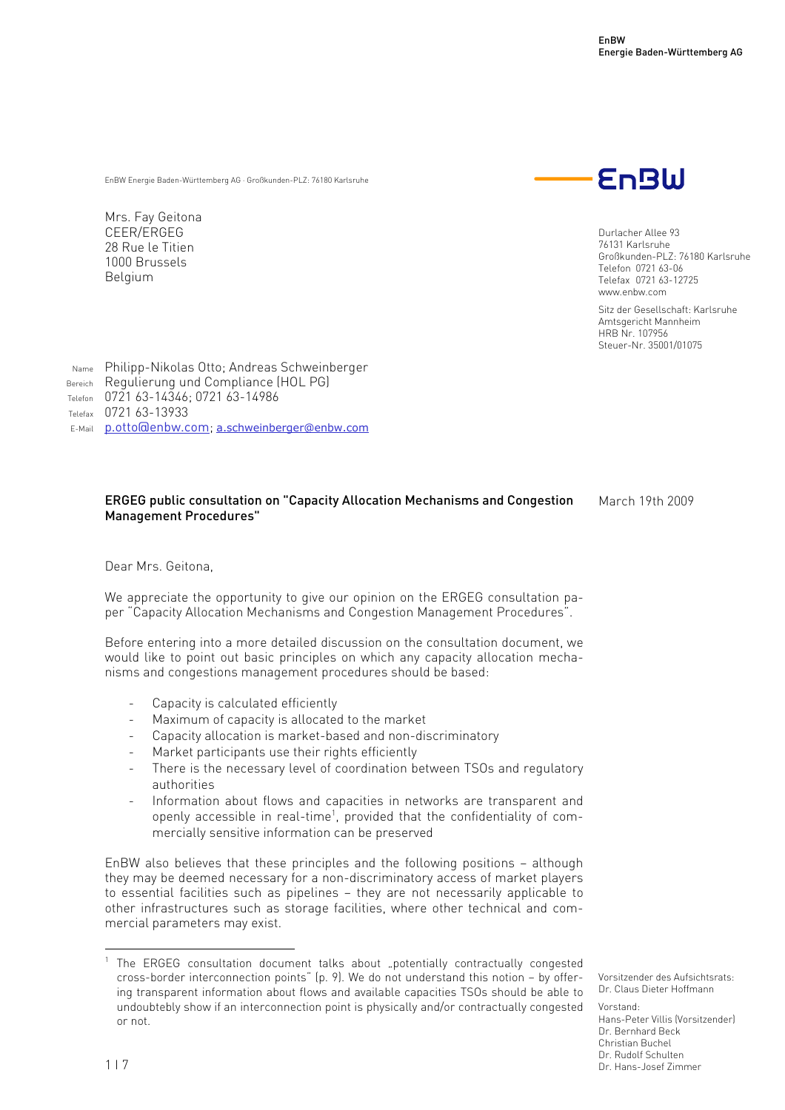EnBW Energie Baden-Württemberg AG · Großkunden-PLZ: 76180 Karlsruhe

Mrs. Fay Geitona CEER/ERGEG 28 Rue le Titien 1000 Brussels Belgium



Durlacher Allee 93 76131 Karlsruhe Großkunden-PLZ: 76180 Karlsruhe Telefon 0721 63-06 Telefax 0721 63-12725 www.enbw.com

Sitz der Gesellschaft: Karlsruhe Amtsgericht Mannheim HRB Nr. 107956 Steuer-Nr. 35001/01075

Name Philipp-Nikolas Otto; Andreas Schweinberger Bereich Requlierung und Compliance (HOL PG) Telefon 0721 63-14346; 0721 63-14986 Telefax 0721 63-13933 E-Mail p.otto@enbw.com; a.schweinberger@enbw.com

## ERGEG public consultation on "Capacity Allocation Mechanisms and Congestion Management Procedures"

March 19th 2009

Dear Mrs. Geitona,

We appreciate the opportunity to give our opinion on the ERGEG consultation paper "Capacity Allocation Mechanisms and Congestion Management Procedures".

Before entering into a more detailed discussion on the consultation document, we would like to point out basic principles on which any capacity allocation mechanisms and congestions management procedures should be based:

- Capacity is calculated efficiently
- Maximum of capacity is allocated to the market
- Capacity allocation is market-based and non-discriminatory
- Market participants use their rights efficiently
- There is the necessary level of coordination between TSOs and regulatory authorities
- Information about flows and capacities in networks are transparent and openly accessible in real-time<sup>1</sup>, provided that the confidentiality of commercially sensitive information can be preserved

EnBW also believes that these principles and the following positions – although they may be deemed necessary for a non-discriminatory access of market players to essential facilities such as pipelines – they are not necessarily applicable to other infrastructures such as storage facilities, where other technical and commercial parameters may exist.

Vorsitzender des Aufsichtsrats: Dr. Claus Dieter Hoffmann

Vorstand: Hans-Peter Villis (Vorsitzender) Dr. Bernhard Beck Christian Buchel Dr. Rudolf Schulten Dr. Hans-Josef Zimmer

 $\overline{a}$ 

<sup>1</sup> The ERGEG consultation document talks about "potentially contractually congested cross-border interconnection points" (p. 9). We do not understand this notion – by offering transparent information about flows and available capacities TSOs should be able to undoubtebly show if an interconnection point is physically and/or contractually congested or not.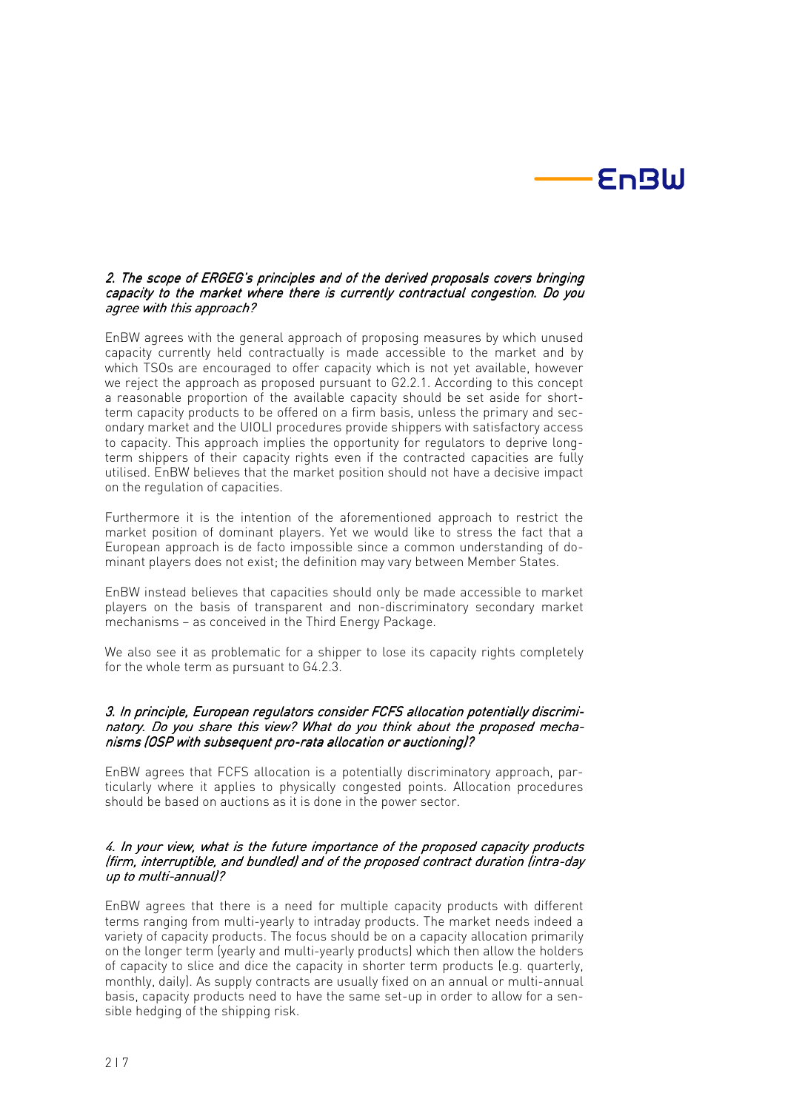

#### 2. The scope of ERGEG's principles and of the derived proposals covers bringing capacity to the market where there is currently contractual congestion. Do you agree with this approach?

EnBW agrees with the general approach of proposing measures by which unused capacity currently held contractually is made accessible to the market and by which TSOs are encouraged to offer capacity which is not yet available, however we reject the approach as proposed pursuant to G2.2.1. According to this concept a reasonable proportion of the available capacity should be set aside for shortterm capacity products to be offered on a firm basis, unless the primary and secondary market and the UIOLI procedures provide shippers with satisfactory access to capacity. This approach implies the opportunity for regulators to deprive longterm shippers of their capacity rights even if the contracted capacities are fully utilised. EnBW believes that the market position should not have a decisive impact on the regulation of capacities.

Furthermore it is the intention of the aforementioned approach to restrict the market position of dominant players. Yet we would like to stress the fact that a European approach is de facto impossible since a common understanding of dominant players does not exist; the definition may vary between Member States.

EnBW instead believes that capacities should only be made accessible to market players on the basis of transparent and non-discriminatory secondary market mechanisms – as conceived in the Third Energy Package.

We also see it as problematic for a shipper to lose its capacity rights completely for the whole term as pursuant to G4.2.3.

#### 3. In principle, European regulators consider FCFS allocation potentially discriminatory. Do you share this view? What do you think about the proposed mechanisms (OSP with subsequent pro-rata allocation or auctioning)?

EnBW agrees that FCFS allocation is a potentially discriminatory approach, particularly where it applies to physically congested points. Allocation procedures should be based on auctions as it is done in the power sector.

#### 4. In your view, what is the future importance of the proposed capacity products (firm, interruptible, and bundled) and of the proposed contract duration (intra-day up to multi-annual $\mathcal{V}$ ?

EnBW agrees that there is a need for multiple capacity products with different terms ranging from multi-yearly to intraday products. The market needs indeed a variety of capacity products. The focus should be on a capacity allocation primarily on the longer term (yearly and multi-yearly products) which then allow the holders of capacity to slice and dice the capacity in shorter term products (e.g. quarterly, monthly, daily). As supply contracts are usually fixed on an annual or multi-annual basis, capacity products need to have the same set-up in order to allow for a sensible hedging of the shipping risk.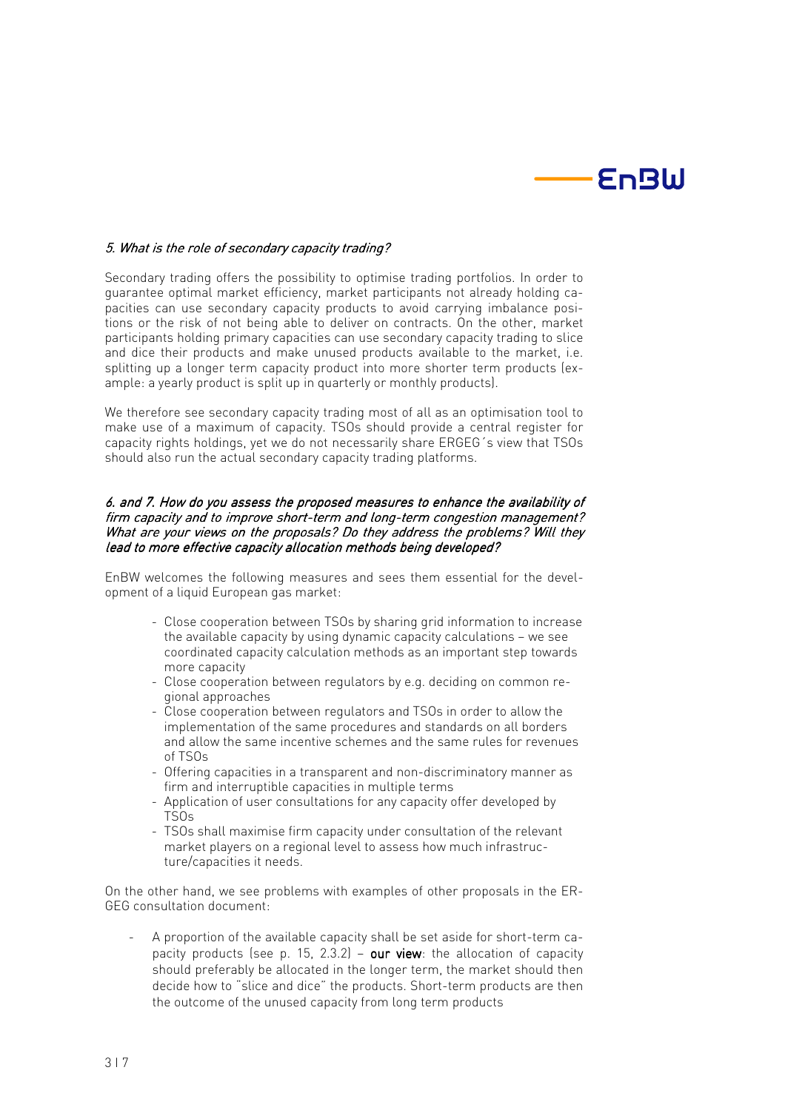

## 5. What is the role of secondary capacity trading?

Secondary trading offers the possibility to optimise trading portfolios. In order to guarantee optimal market efficiency, market participants not already holding capacities can use secondary capacity products to avoid carrying imbalance positions or the risk of not being able to deliver on contracts. On the other, market participants holding primary capacities can use secondary capacity trading to slice and dice their products and make unused products available to the market, i.e. splitting up a longer term capacity product into more shorter term products (example: a yearly product is split up in quarterly or monthly products).

We therefore see secondary capacity trading most of all as an optimisation tool to make use of a maximum of capacity. TSOs should provide a central register for capacity rights holdings, yet we do not necessarily share ERGEG´s view that TSOs should also run the actual secondary capacity trading platforms.

#### 6. and 7. How do you assess the proposed measures to enhance the availability of firm capacity and to improve short-term and long-term congestion management? What are your views on the proposals? Do they address the problems? Will they lead to more effective capacity allocation methods being developed?

EnBW welcomes the following measures and sees them essential for the development of a liquid European gas market:

- Close cooperation between TSOs by sharing grid information to increase the available capacity by using dynamic capacity calculations – we see coordinated capacity calculation methods as an important step towards more capacity
- Close cooperation between regulators by e.g. deciding on common regional approaches
- Close cooperation between regulators and TSOs in order to allow the implementation of the same procedures and standards on all borders and allow the same incentive schemes and the same rules for revenues of TSOs
- Offering capacities in a transparent and non-discriminatory manner as firm and interruptible capacities in multiple terms
- Application of user consultations for any capacity offer developed by TSOs
- TSOs shall maximise firm capacity under consultation of the relevant market players on a regional level to assess how much infrastructure/capacities it needs.

On the other hand, we see problems with examples of other proposals in the ER-GEG consultation document:

- A proportion of the available capacity shall be set aside for short-term capacity products (see p. 15, 2.3.2) – our view: the allocation of capacity should preferably be allocated in the longer term, the market should then decide how to "slice and dice" the products. Short-term products are then the outcome of the unused capacity from long term products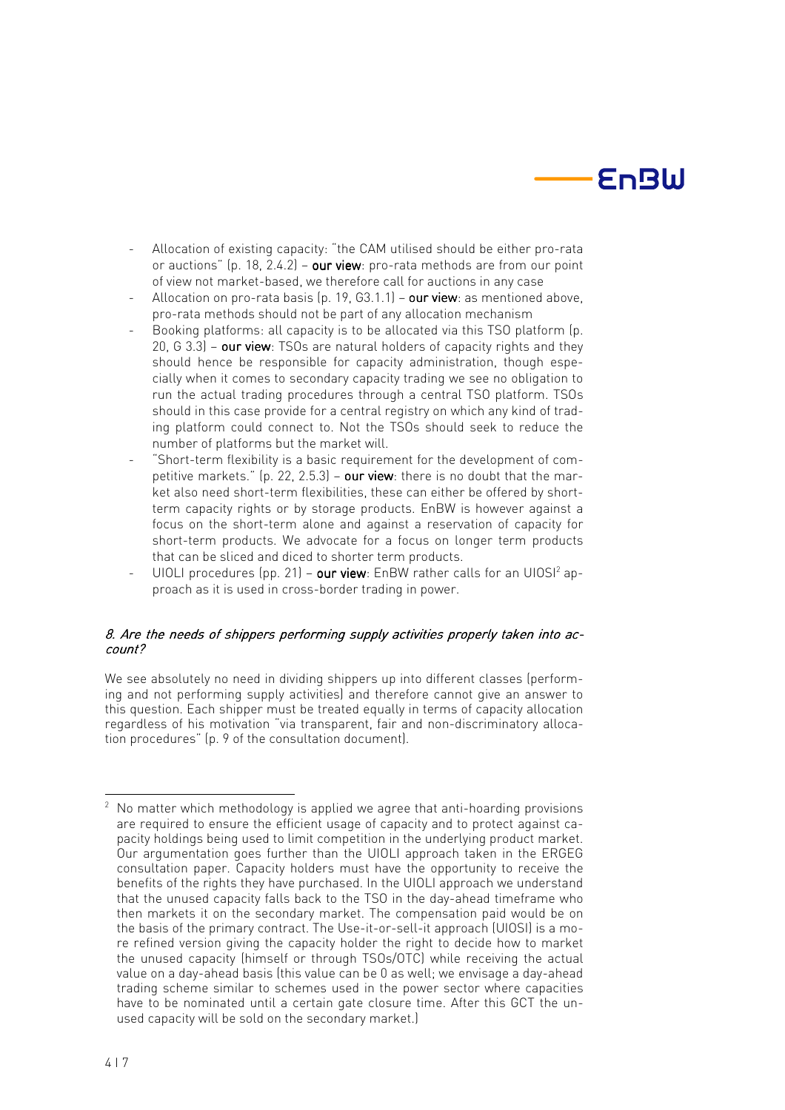# **EnBW**

- Allocation of existing capacity: "the CAM utilised should be either pro-rata or auctions" (p. 18, 2.4.2) – our view: pro-rata methods are from our point of view not market-based, we therefore call for auctions in any case
- Allocation on pro-rata basis (p. 19,  $63.1.1$ ) our view: as mentioned above, pro-rata methods should not be part of any allocation mechanism
- Booking platforms: all capacity is to be allocated via this TSO platform (p. 20, G 3.3) – our view: TSOs are natural holders of capacity rights and they should hence be responsible for capacity administration, though especially when it comes to secondary capacity trading we see no obligation to run the actual trading procedures through a central TSO platform. TSOs should in this case provide for a central registry on which any kind of trading platform could connect to. Not the TSOs should seek to reduce the number of platforms but the market will.
- "Short-term flexibility is a basic requirement for the development of competitive markets."  $(p. 22, 2.5.3)$  – our view: there is no doubt that the market also need short-term flexibilities, these can either be offered by shortterm capacity rights or by storage products. EnBW is however against a focus on the short-term alone and against a reservation of capacity for short-term products. We advocate for a focus on longer term products that can be sliced and diced to shorter term products.
- UIOLI procedures (pp. 21) **our view**: EnBW rather calls for an UIOSI<sup>2</sup> approach as it is used in cross-border trading in power.

## 8. Are the needs of shippers performing supply activities properly taken into account?

We see absolutely no need in dividing shippers up into different classes (performing and not performing supply activities) and therefore cannot give an answer to this question. Each shipper must be treated equally in terms of capacity allocation regardless of his motivation "via transparent, fair and non-discriminatory allocation procedures" (p. 9 of the consultation document).

 $\frac{1}{2}$  No matter which methodology is applied we agree that anti-hoarding provisions are required to ensure the efficient usage of capacity and to protect against capacity holdings being used to limit competition in the underlying product market. Our argumentation goes further than the UIOLI approach taken in the ERGEG consultation paper. Capacity holders must have the opportunity to receive the benefits of the rights they have purchased. In the UIOLI approach we understand that the unused capacity falls back to the TSO in the day-ahead timeframe who then markets it on the secondary market. The compensation paid would be on the basis of the primary contract. The Use-it-or-sell-it approach (UIOSI) is a more refined version giving the capacity holder the right to decide how to market the unused capacity (himself or through TSOs/OTC) while receiving the actual value on a day-ahead basis (this value can be 0 as well; we envisage a day-ahead trading scheme similar to schemes used in the power sector where capacities have to be nominated until a certain gate closure time. After this GCT the unused capacity will be sold on the secondary market.)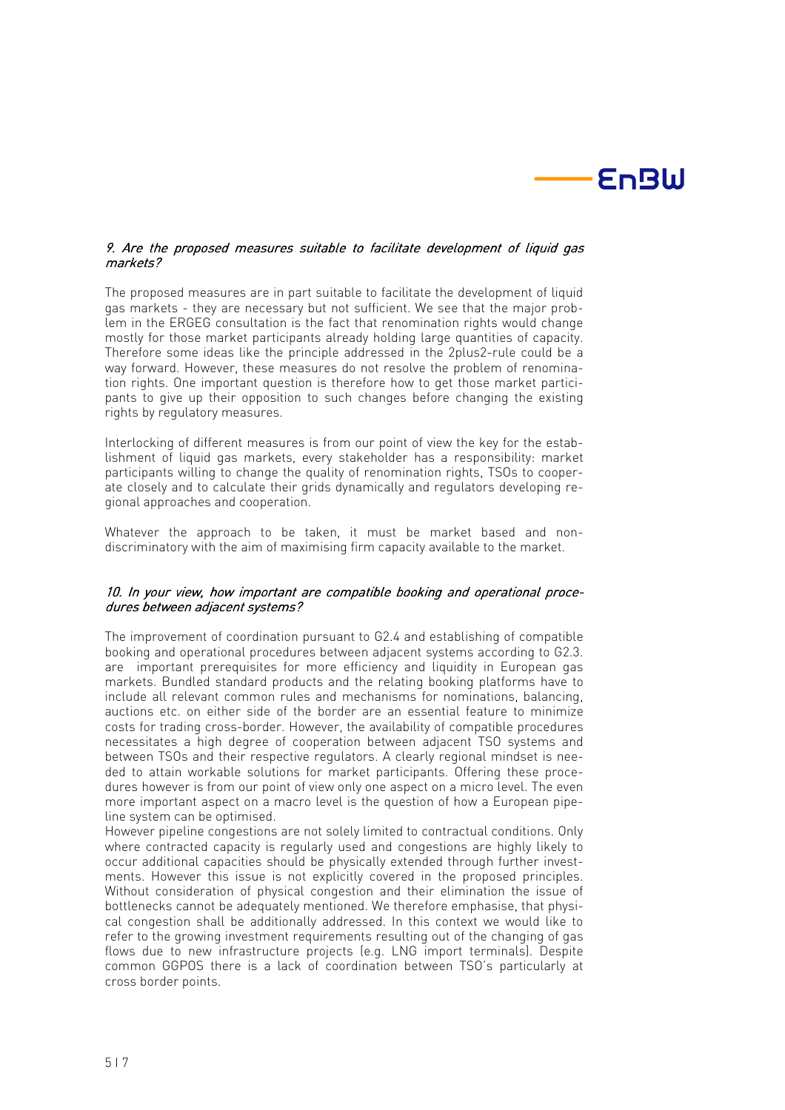

## 9. Are the proposed measures suitable to facilitate development of liquid gas markets?

The proposed measures are in part suitable to facilitate the development of liquid gas markets - they are necessary but not sufficient. We see that the major problem in the ERGEG consultation is the fact that renomination rights would change mostly for those market participants already holding large quantities of capacity. Therefore some ideas like the principle addressed in the 2plus2-rule could be a way forward. However, these measures do not resolve the problem of renomination rights. One important question is therefore how to get those market participants to give up their opposition to such changes before changing the existing rights by regulatory measures.

Interlocking of different measures is from our point of view the key for the establishment of liquid gas markets, every stakeholder has a responsibility: market participants willing to change the quality of renomination rights, TSOs to cooperate closely and to calculate their grids dynamically and regulators developing regional approaches and cooperation.

Whatever the approach to be taken, it must be market based and nondiscriminatory with the aim of maximising firm capacity available to the market.

## 10. In your view, how important are compatible booking and operational procedures between adjacent systems?

The improvement of coordination pursuant to G2.4 and establishing of compatible booking and operational procedures between adjacent systems according to G2.3. are important prerequisites for more efficiency and liquidity in European gas markets. Bundled standard products and the relating booking platforms have to include all relevant common rules and mechanisms for nominations, balancing, auctions etc. on either side of the border are an essential feature to minimize costs for trading cross-border. However, the availability of compatible procedures necessitates a high degree of cooperation between adjacent TSO systems and between TSOs and their respective regulators. A clearly regional mindset is needed to attain workable solutions for market participants. Offering these procedures however is from our point of view only one aspect on a micro level. The even more important aspect on a macro level is the question of how a European pipeline system can be optimised.

However pipeline congestions are not solely limited to contractual conditions. Only where contracted capacity is regularly used and congestions are highly likely to occur additional capacities should be physically extended through further investments. However this issue is not explicitly covered in the proposed principles. Without consideration of physical congestion and their elimination the issue of bottlenecks cannot be adequately mentioned. We therefore emphasise, that physical congestion shall be additionally addressed. In this context we would like to refer to the growing investment requirements resulting out of the changing of gas flows due to new infrastructure projects (e.g. LNG import terminals). Despite common GGPOS there is a lack of coordination between TSO's particularly at cross border points.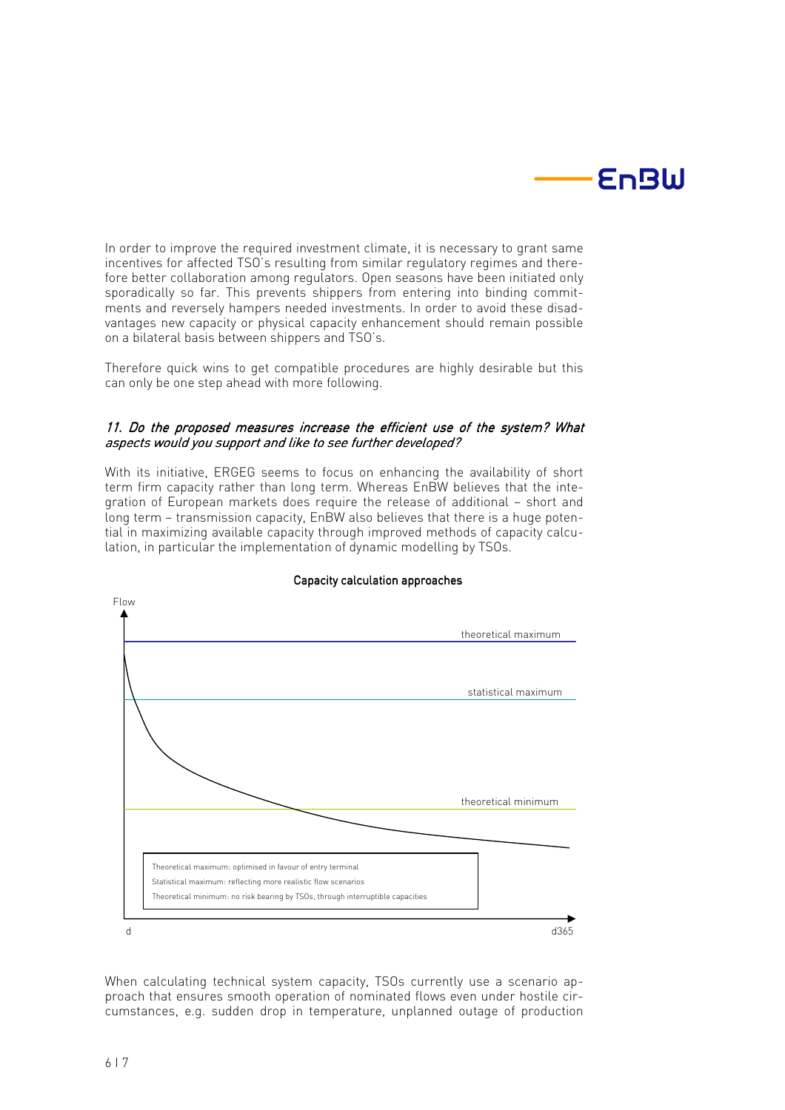

In order to improve the required investment climate, it is necessary to grant same incentives for affected TSO's resulting from similar regulatory regimes and therefore better collaboration among regulators. Open seasons have been initiated only sporadically so far. This prevents shippers from entering into binding commitments and reversely hampers needed investments. In order to avoid these disadvantages new capacity or physical capacity enhancement should remain possible on a bilateral basis between shippers and TSO's.

Therefore quick wins to get compatible procedures are highly desirable but this can only be one step ahead with more following.

# 11. Do the proposed measures increase the efficient use of the system? What aspects would you support and like to see further developed?

With its initiative, ERGEG seems to focus on enhancing the availability of short term firm capacity rather than long term. Whereas EnBW believes that the integration of European markets does require the release of additional – short and long term – transmission capacity, EnBW also believes that there is a huge potential in maximizing available capacity through improved methods of capacity calculation, in particular the implementation of dynamic modelling by TSOs.



#### Capacity calculation approaches

When calculating technical system capacity, TSOs currently use a scenario approach that ensures smooth operation of nominated flows even under hostile circumstances, e.g. sudden drop in temperature, unplanned outage of production